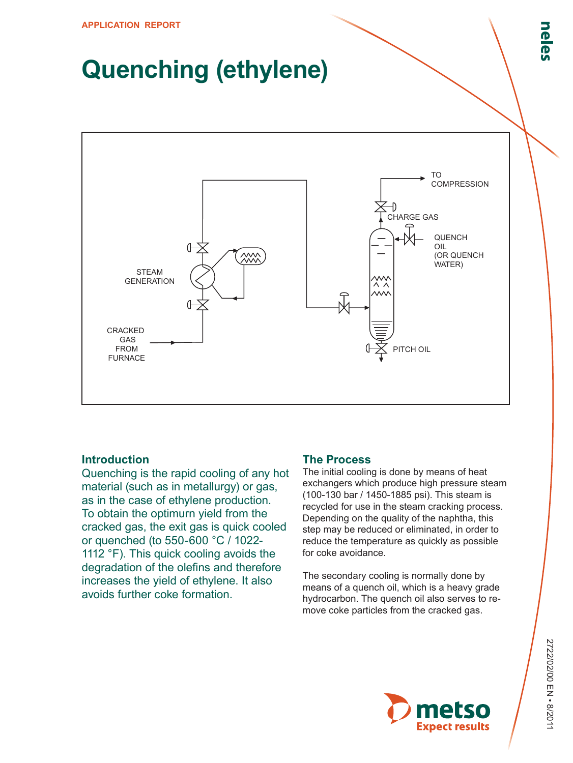## **Quenching (ethylene)**



## **Introduction**

Quenching is the rapid cooling of any hot material (such as in metallurgy) or gas, as in the case of ethylene production. To obtain the optimurn yield from the cracked gas, the exit gas is quick cooled or quenched (to 550-600 °C / 1022- 1112 °F). This quick cooling avoids the degradation of the olefins and therefore increases the yield of ethylene. It also avoids further coke formation.

## **The Process**

The initial cooling is done by means of heat exchangers which produce high pressure steam (100-130 bar / 1450-1885 psi). This steam is recycled for use in the steam cracking process. Depending on the quality of the naphtha, this step may be reduced or eliminated, in order to reduce the temperature as quickly as possible for coke avoidance.

The secondary cooling is normally done by means of a quench oil, which is a heavy grade hydrocarbon. The quench oil also serves to remove coke particles from the cracked gas.